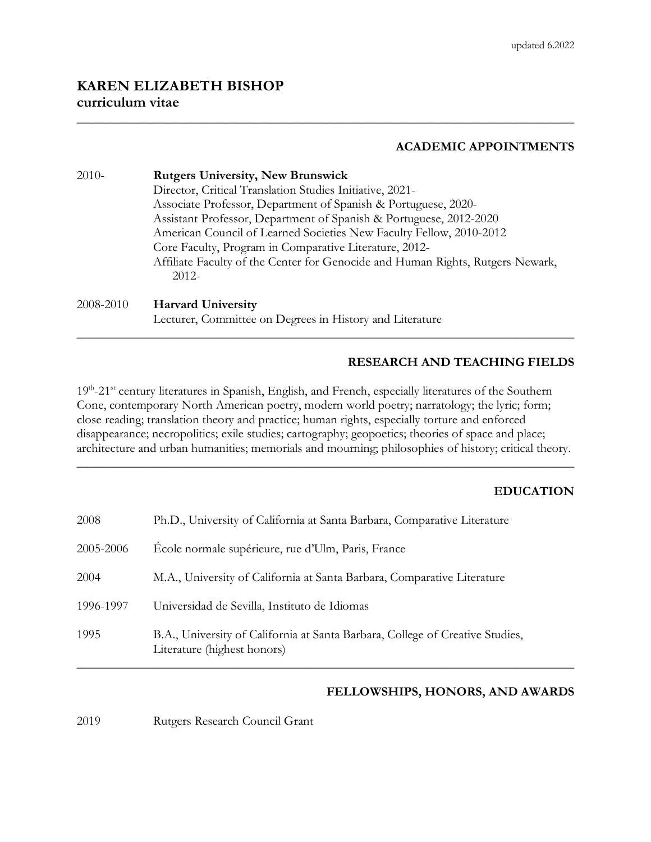## **KAREN ELIZABETH BISHOP curriculum vitae**

## **ACADEMIC APPOINTMENTS**

| $2010-$   | <b>Rutgers University, New Brunswick</b>                                       |
|-----------|--------------------------------------------------------------------------------|
|           | Director, Critical Translation Studies Initiative, 2021-                       |
|           | Associate Professor, Department of Spanish & Portuguese, 2020-                 |
|           | Assistant Professor, Department of Spanish & Portuguese, 2012-2020             |
|           | American Council of Learned Societies New Faculty Fellow, 2010-2012            |
|           | Core Faculty, Program in Comparative Literature, 2012-                         |
|           | Affiliate Faculty of the Center for Genocide and Human Rights, Rutgers-Newark, |
|           | $2012 -$                                                                       |
| 2008-2010 | <b>Harvard University</b>                                                      |
|           | Lecturer, Committee on Degrees in History and Literature                       |

\_\_\_\_\_\_\_\_\_\_\_\_\_\_\_\_\_\_\_\_\_\_\_\_\_\_\_\_\_\_\_\_\_\_\_\_\_\_\_\_\_\_\_\_\_\_\_\_\_\_\_\_\_\_\_\_\_\_\_\_\_\_\_\_\_\_\_\_\_\_\_\_\_\_\_\_\_\_

### **RESEARCH AND TEACHING FIELDS**

19th-21<sup>st</sup> century literatures in Spanish, English, and French, especially literatures of the Southern Cone, contemporary North American poetry, modern world poetry; narratology; the lyric; form; close reading; translation theory and practice; human rights, especially torture and enforced disappearance; necropolitics; exile studies; cartography; geopoetics; theories of space and place; architecture and urban humanities; memorials and mourning; philosophies of history; critical theory.

\_\_\_\_\_\_\_\_\_\_\_\_\_\_\_\_\_\_\_\_\_\_\_\_\_\_\_\_\_\_\_\_\_\_\_\_\_\_\_\_\_\_\_\_\_\_\_\_\_\_\_\_\_\_\_\_\_\_\_\_\_\_\_\_\_\_\_\_\_\_\_\_\_\_\_\_\_\_

\_\_\_\_\_\_\_\_\_\_\_\_\_\_\_\_\_\_\_\_\_\_\_\_\_\_\_\_\_\_\_\_\_\_\_\_\_\_\_\_\_\_\_\_\_\_\_\_\_\_\_\_\_\_\_\_\_\_\_\_\_\_\_\_\_\_\_\_\_\_\_\_\_\_\_\_\_\_

## **EDUCATION**

| 2008      | Ph.D., University of California at Santa Barbara, Comparative Literature                                     |
|-----------|--------------------------------------------------------------------------------------------------------------|
| 2005-2006 | École normale supérieure, rue d'Ulm, Paris, France                                                           |
| 2004      | M.A., University of California at Santa Barbara, Comparative Literature                                      |
| 1996-1997 | Universidad de Sevilla, Instituto de Idiomas                                                                 |
| 1995      | B.A., University of California at Santa Barbara, College of Creative Studies,<br>Literature (highest honors) |

### **FELLOWSHIPS, HONORS, AND AWARDS**

2019 Rutgers Research Council Grant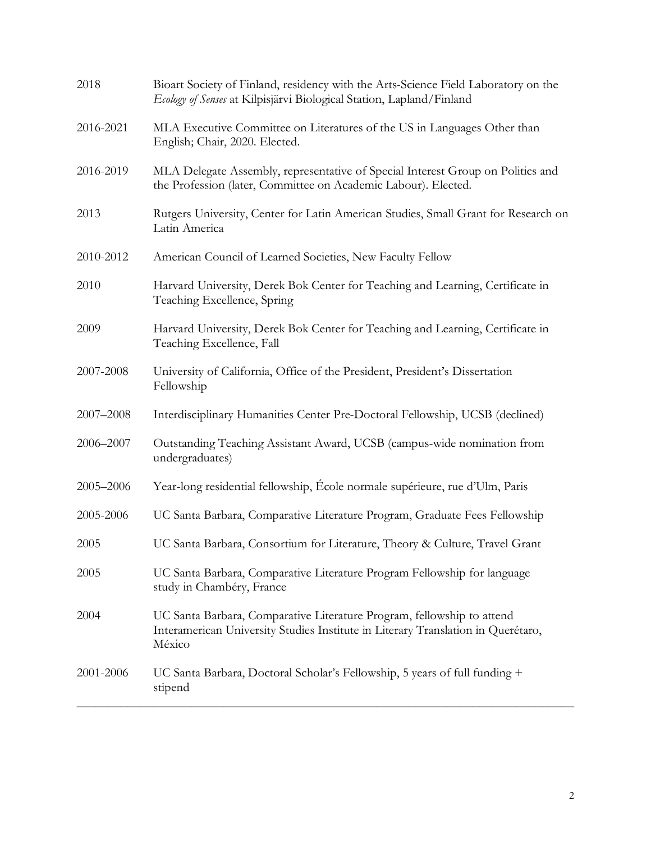| 2018      | Bioart Society of Finland, residency with the Arts-Science Field Laboratory on the<br>Ecology of Senses at Kilpisjärvi Biological Station, Lapland/Finland           |
|-----------|----------------------------------------------------------------------------------------------------------------------------------------------------------------------|
| 2016-2021 | MLA Executive Committee on Literatures of the US in Languages Other than<br>English; Chair, 2020. Elected.                                                           |
| 2016-2019 | MLA Delegate Assembly, representative of Special Interest Group on Politics and<br>the Profession (later, Committee on Academic Labour). Elected.                    |
| 2013      | Rutgers University, Center for Latin American Studies, Small Grant for Research on<br>Latin America                                                                  |
| 2010-2012 | American Council of Learned Societies, New Faculty Fellow                                                                                                            |
| 2010      | Harvard University, Derek Bok Center for Teaching and Learning, Certificate in<br>Teaching Excellence, Spring                                                        |
| 2009      | Harvard University, Derek Bok Center for Teaching and Learning, Certificate in<br>Teaching Excellence, Fall                                                          |
| 2007-2008 | University of California, Office of the President, President's Dissertation<br>Fellowship                                                                            |
| 2007-2008 | Interdisciplinary Humanities Center Pre-Doctoral Fellowship, UCSB (declined)                                                                                         |
| 2006-2007 | Outstanding Teaching Assistant Award, UCSB (campus-wide nomination from<br>undergraduates)                                                                           |
| 2005-2006 | Year-long residential fellowship, École normale supérieure, rue d'Ulm, Paris                                                                                         |
| 2005-2006 | UC Santa Barbara, Comparative Literature Program, Graduate Fees Fellowship                                                                                           |
| 2005      | UC Santa Barbara, Consortium for Literature, Theory & Culture, Travel Grant                                                                                          |
| 2005      | UC Santa Barbara, Comparative Literature Program Fellowship for language<br>study in Chambéry, France                                                                |
| 2004      | UC Santa Barbara, Comparative Literature Program, fellowship to attend<br>Interamerican University Studies Institute in Literary Translation in Querétaro,<br>México |
| 2001-2006 | UC Santa Barbara, Doctoral Scholar's Fellowship, 5 years of full funding +<br>stipend                                                                                |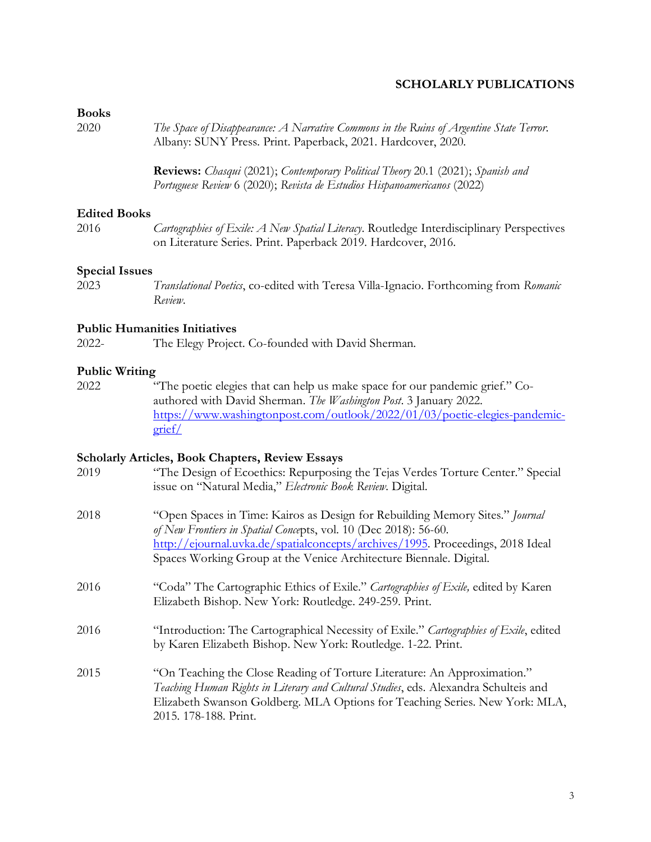# **SCHOLARLY PUBLICATIONS**

# **Books**

| 2020                  | The Space of Disappearance: A Narrative Commons in the Ruins of Argentine State Terror.<br>Albany: SUNY Press. Print. Paperback, 2021. Hardcover, 2020.                                                                                   |
|-----------------------|-------------------------------------------------------------------------------------------------------------------------------------------------------------------------------------------------------------------------------------------|
|                       | <b>Reviews:</b> Chasqui (2021); Contemporary Political Theory 20.1 (2021); Spanish and<br>Portuguese Review 6 (2020); Revista de Estudios Hispanoamericanos (2022)                                                                        |
| <b>Edited Books</b>   |                                                                                                                                                                                                                                           |
| 2016                  | Cartographies of Exile: A New Spatial Literacy. Routledge Interdisciplinary Perspectives<br>on Literature Series. Print. Paperback 2019. Hardcover, 2016.                                                                                 |
| <b>Special Issues</b> |                                                                                                                                                                                                                                           |
| 2023                  | Translational Poetics, co-edited with Teresa Villa-Ignacio. Forthcoming from Romanic<br>Review.                                                                                                                                           |
|                       | <b>Public Humanities Initiatives</b>                                                                                                                                                                                                      |
| $2022 -$              | The Elegy Project. Co-founded with David Sherman.                                                                                                                                                                                         |
| <b>Public Writing</b> |                                                                                                                                                                                                                                           |
| 2022                  | "The poetic elegies that can help us make space for our pandemic grief." Co-<br>authored with David Sherman. The Washington Post. 3 January 2022.<br>https://www.washingtonpost.com/outlook/2022/01/03/poetic-elegies-pandemic-<br>grief/ |

## **Scholarly Articles, Book Chapters, Review Essays**

| 2019 | "The Design of Ecoethics: Repurposing the Tejas Verdes Torture Center." Special<br>issue on "Natural Media," Electronic Book Review. Digital.                                                                                                                                                            |
|------|----------------------------------------------------------------------------------------------------------------------------------------------------------------------------------------------------------------------------------------------------------------------------------------------------------|
| 2018 | "Open Spaces in Time: Kairos as Design for Rebuilding Memory Sites." Journal<br>of New Frontiers in Spatial Concepts, vol. 10 (Dec 2018): 56-60.<br>http://ejournal.uvka.de/spatialconcepts/archives/1995. Proceedings, 2018 Ideal<br>Spaces Working Group at the Venice Architecture Biennale. Digital. |
| 2016 | "Coda" The Cartographic Ethics of Exile." Cartographies of Exile, edited by Karen<br>Elizabeth Bishop. New York: Routledge. 249-259. Print.                                                                                                                                                              |
| 2016 | "Introduction: The Cartographical Necessity of Exile." Cartographies of Exile, edited<br>by Karen Elizabeth Bishop. New York: Routledge. 1-22. Print.                                                                                                                                                    |
| 2015 | "On Teaching the Close Reading of Torture Literature: An Approximation."<br>Teaching Human Rights in Literary and Cultural Studies, eds. Alexandra Schulteis and<br>Elizabeth Swanson Goldberg. MLA Options for Teaching Series. New York: MLA,<br>2015. 178-188. Print.                                 |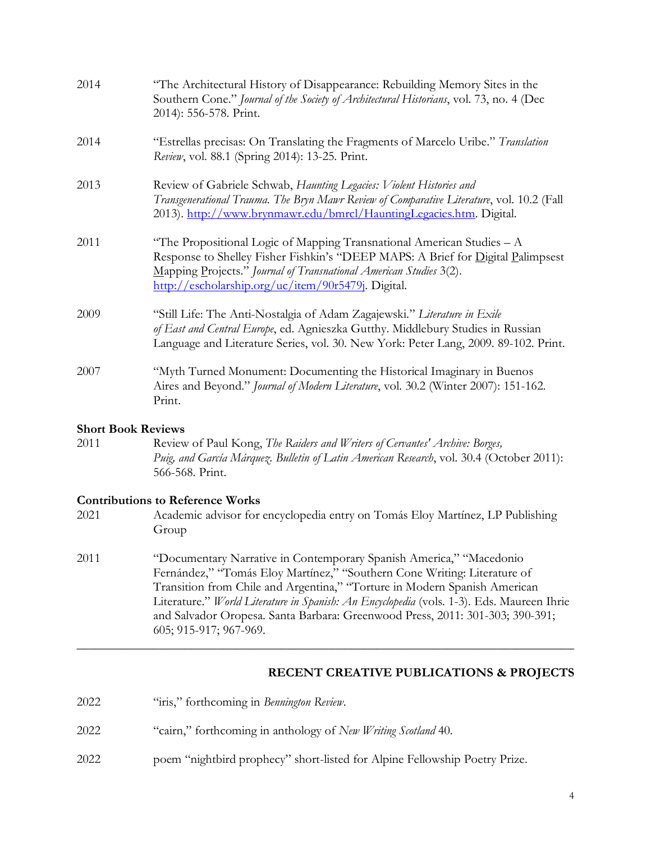| 2014 | "The Architectural History of Disappearance: Rebuilding Memory Sites in the<br>Southern Cone." Journal of the Society of Architectural Historians, vol. 73, no. 4 (Dec<br>2014): 556-578. Print.                                                                                       |
|------|----------------------------------------------------------------------------------------------------------------------------------------------------------------------------------------------------------------------------------------------------------------------------------------|
| 2014 | "Estrellas precisas: On Translating the Fragments of Marcelo Uribe." Translation<br>Review, vol. 88.1 (Spring 2014): 13-25. Print.                                                                                                                                                     |
| 2013 | Review of Gabriele Schwab, Haunting Legacies: Violent Histories and<br>Transgenerational Trauma. The Bryn Mawr Review of Comparative Literature, vol. 10.2 (Fall<br>2013). http://www.brynmawr.edu/bmrcl/HauntingLegacies.htm. Digital.                                                |
| 2011 | "The Propositional Logic of Mapping Transnational American Studies $-A$<br>Response to Shelley Fisher Fishkin's "DEEP MAPS: A Brief for Digital Palimpsest<br>Mapping Projects." Journal of Transnational American Studies 3(2).<br>http://escholarship.org/uc/item/90r5479j. Digital. |
| 2009 | "Still Life: The Anti-Nostalgia of Adam Zagajewski." Literature in Exile<br>of East and Central Europe, ed. Agnieszka Gutthy. Middlebury Studies in Russian<br>Language and Literature Series, vol. 30. New York: Peter Lang, 2009. 89-102. Print.                                     |
| 2007 | "Myth Turned Monument: Documenting the Historical Imaginary in Buenos<br>Aires and Beyond." Journal of Modern Literature, vol. 30.2 (Winter 2007): 151-162.<br>Print.                                                                                                                  |

#### **Short Book Reviews**

2011 Review of Paul Kong, *The Raiders and Writers of Cervantes' Archive: Borges, Puig, and García Márquez*. *Bulletin of Latin American Research*, vol. 30.4 (October 2011): 566-568. Print.

### **Contributions to Reference Works**

- 2021 Academic advisor for encyclopedia entry on Tomás Eloy Martínez, LP Publishing Group
- 2011 "Documentary Narrative in Contemporary Spanish America," "Macedonio Fernández," "Tomás Eloy Martínez," "Southern Cone Writing: Literature of Transition from Chile and Argentina," "Torture in Modern Spanish American Literature." *World Literature in Spanish: An Encyclopedia* (vols. 1-3). Eds. Maureen Ihrie and Salvador Oropesa. Santa Barbara: Greenwood Press, 2011: 301-303; 390-391; 605; 915-917; 967-969.

\_\_\_\_\_\_\_\_\_\_\_\_\_\_\_\_\_\_\_\_\_\_\_\_\_\_\_\_\_\_\_\_\_\_\_\_\_\_\_\_\_\_\_\_\_\_\_\_\_\_\_\_\_\_\_\_\_\_\_\_\_\_\_\_\_\_\_\_\_\_\_\_\_\_\_\_\_\_

### **RECENT CREATIVE PUBLICATIONS & PROJECTS**

- 2022 "iris," forthcoming in *Bennington Review*.
- 2022 "cairn," forthcoming in anthology of *New Writing Scotland* 40.
- 2022 poem "nightbird prophecy" short-listed for Alpine Fellowship Poetry Prize.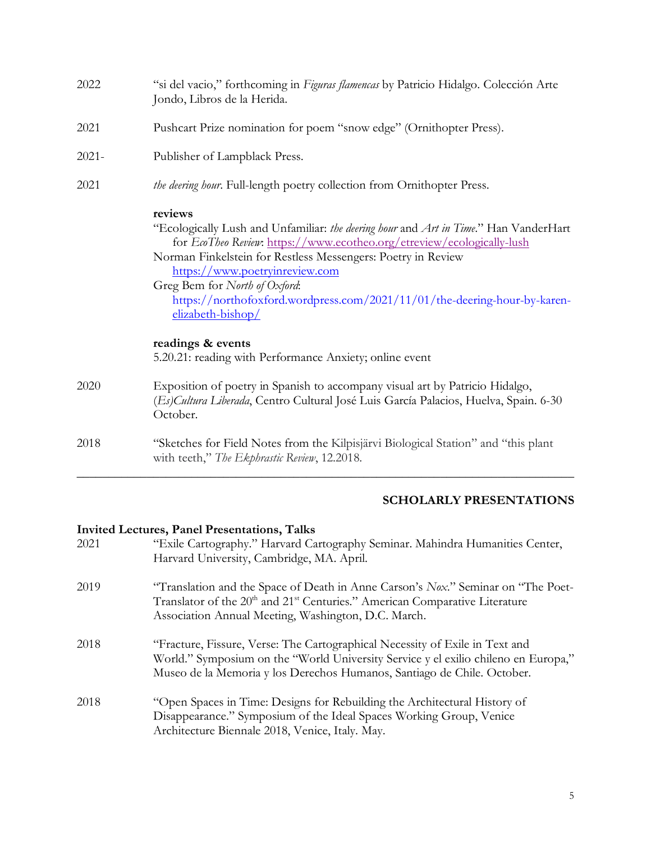| 2022     | "si del vacio," forthcoming in Figuras flamencas by Patricio Hidalgo. Colección Arte<br>Jondo, Libros de la Herida.                                                                                                                                                                                                                                                                                                                                                                            |
|----------|------------------------------------------------------------------------------------------------------------------------------------------------------------------------------------------------------------------------------------------------------------------------------------------------------------------------------------------------------------------------------------------------------------------------------------------------------------------------------------------------|
| 2021     | Pushcart Prize nomination for poem "snow edge" (Ornithopter Press).                                                                                                                                                                                                                                                                                                                                                                                                                            |
| $2021 -$ | Publisher of Lampblack Press.                                                                                                                                                                                                                                                                                                                                                                                                                                                                  |
| 2021     | the deering hour. Full-length poetry collection from Ornithopter Press.                                                                                                                                                                                                                                                                                                                                                                                                                        |
|          | reviews<br>"Ecologically Lush and Unfamiliar: the deering hour and Art in Time." Han VanderHart<br>for EcoTheo Review: https://www.ecotheo.org/etreview/ecologically-lush<br>Norman Finkelstein for Restless Messengers: Poetry in Review<br>https://www.poetryinreview.com<br>Greg Bem for North of Oxford:<br>https://northofoxford.wordpress.com/2021/11/01/the-deering-hour-by-karen-<br>elizabeth-bishop/<br>readings & events<br>5.20.21: reading with Performance Anxiety; online event |
| 2020     | Exposition of poetry in Spanish to accompany visual art by Patricio Hidalgo,<br>(Es) Cultura Liberada, Centro Cultural José Luis García Palacios, Huelva, Spain. 6-30<br>October.                                                                                                                                                                                                                                                                                                              |
| 2018     | "Sketches for Field Notes from the Kilpisjärvi Biological Station" and "this plant<br>with teeth," The Ekphrastic Review, 12.2018.                                                                                                                                                                                                                                                                                                                                                             |

## **SCHOLARLY PRESENTATIONS**

## **Invited Lectures, Panel Presentations, Talks**

| "Exile Cartography." Harvard Cartography Seminar. Mahindra Humanities Center,<br>Harvard University, Cambridge, MA. April.                                                                                                                     |
|------------------------------------------------------------------------------------------------------------------------------------------------------------------------------------------------------------------------------------------------|
| "Translation and the Space of Death in Anne Carson's Nox." Seminar on "The Poet-<br>Translator of the 20 <sup>th</sup> and 21 <sup>st</sup> Centuries." American Comparative Literature<br>Association Annual Meeting, Washington, D.C. March. |
| "Fracture, Fissure, Verse: The Cartographical Necessity of Exile in Text and<br>World." Symposium on the "World University Service y el exilio chileno en Europa,"<br>Museo de la Memoria y los Derechos Humanos, Santiago de Chile. October.  |
| "Open Spaces in Time: Designs for Rebuilding the Architectural History of<br>Disappearance." Symposium of the Ideal Spaces Working Group, Venice<br>Architecture Biennale 2018, Venice, Italy. May.                                            |
|                                                                                                                                                                                                                                                |

\_\_\_\_\_\_\_\_\_\_\_\_\_\_\_\_\_\_\_\_\_\_\_\_\_\_\_\_\_\_\_\_\_\_\_\_\_\_\_\_\_\_\_\_\_\_\_\_\_\_\_\_\_\_\_\_\_\_\_\_\_\_\_\_\_\_\_\_\_\_\_\_\_\_\_\_\_\_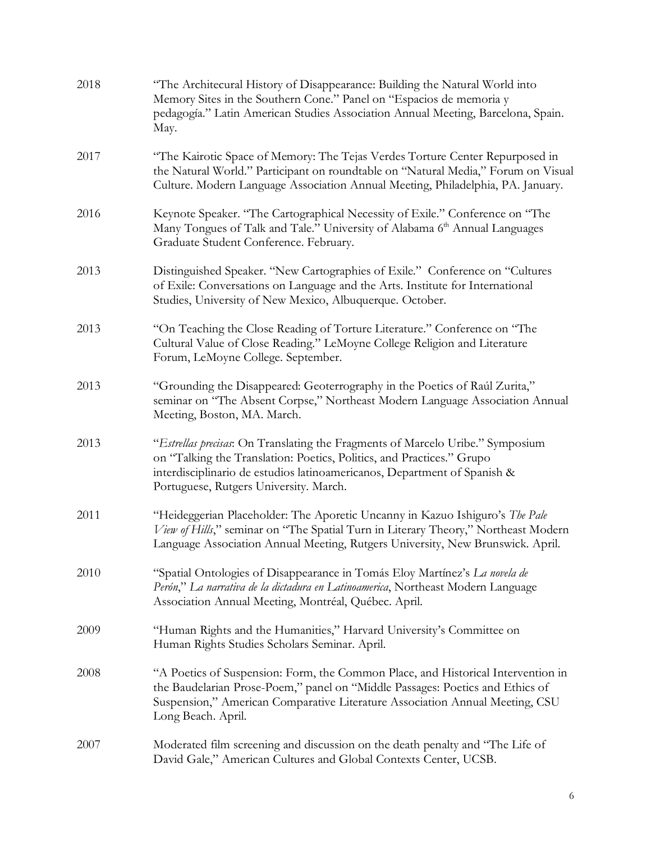| 2018 | "The Architecural History of Disappearance: Building the Natural World into<br>Memory Sites in the Southern Cone." Panel on "Espacios de memoria y<br>pedagogía." Latin American Studies Association Annual Meeting, Barcelona, Spain.<br>May.                                |
|------|-------------------------------------------------------------------------------------------------------------------------------------------------------------------------------------------------------------------------------------------------------------------------------|
| 2017 | "The Kairotic Space of Memory: The Tejas Verdes Torture Center Repurposed in<br>the Natural World." Participant on roundtable on "Natural Media," Forum on Visual<br>Culture. Modern Language Association Annual Meeting, Philadelphia, PA. January.                          |
| 2016 | Keynote Speaker. "The Cartographical Necessity of Exile." Conference on "The<br>Many Tongues of Talk and Tale." University of Alabama 6 <sup>th</sup> Annual Languages<br>Graduate Student Conference. February.                                                              |
| 2013 | Distinguished Speaker. "New Cartographies of Exile." Conference on "Cultures<br>of Exile: Conversations on Language and the Arts. Institute for International<br>Studies, University of New Mexico, Albuquerque. October.                                                     |
| 2013 | "On Teaching the Close Reading of Torture Literature." Conference on "The<br>Cultural Value of Close Reading." LeMoyne College Religion and Literature<br>Forum, LeMoyne College. September.                                                                                  |
| 2013 | "Grounding the Disappeared: Geoterrography in the Poetics of Raúl Zurita,"<br>seminar on "The Absent Corpse," Northeast Modern Language Association Annual<br>Meeting, Boston, MA. March.                                                                                     |
| 2013 | "Estrellas precisas: On Translating the Fragments of Marcelo Uribe." Symposium<br>on "Talking the Translation: Poetics, Politics, and Practices." Grupo<br>interdisciplinario de estudios latinoamericanos, Department of Spanish &<br>Portuguese, Rutgers University. March. |
| 2011 | "Heideggerian Placeholder: The Aporetic Uncanny in Kazuo Ishiguro's The Pale<br>View of Hills," seminar on "The Spatial Turn in Literary Theory," Northeast Modern<br>Language Association Annual Meeting, Rutgers University, New Brunswick. April.                          |
| 2010 | "Spatial Ontologies of Disappearance in Tomás Eloy Martínez's La novela de<br>Perón," La narrativa de la dictadura en Latinoamerica, Northeast Modern Language<br>Association Annual Meeting, Montréal, Québec. April.                                                        |
| 2009 | "Human Rights and the Humanities," Harvard University's Committee on<br>Human Rights Studies Scholars Seminar. April.                                                                                                                                                         |
| 2008 | "A Poetics of Suspension: Form, the Common Place, and Historical Intervention in<br>the Baudelarian Prose-Poem," panel on "Middle Passages: Poetics and Ethics of<br>Suspension," American Comparative Literature Association Annual Meeting, CSU<br>Long Beach. April.       |
| 2007 | Moderated film screening and discussion on the death penalty and "The Life of<br>David Gale," American Cultures and Global Contexts Center, UCSB.                                                                                                                             |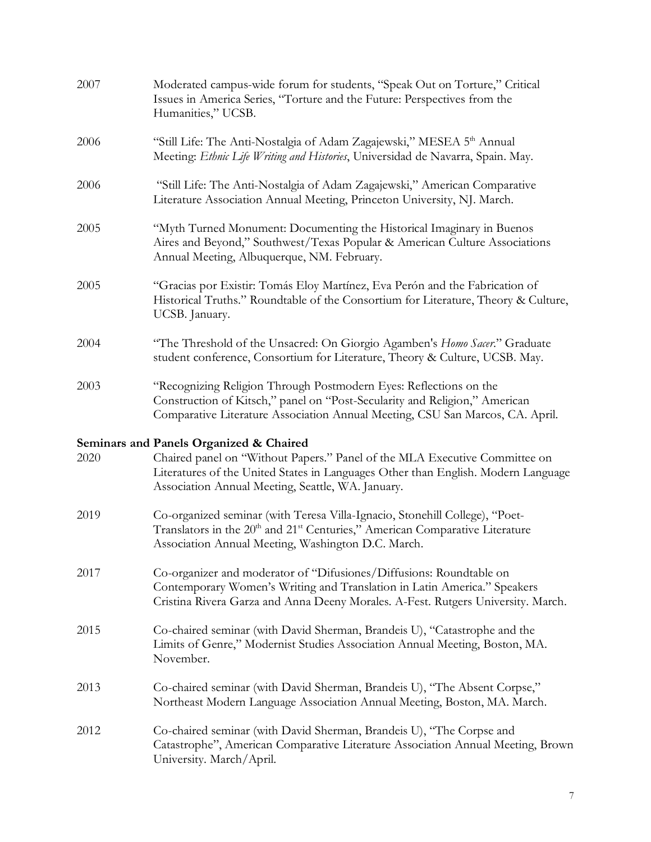| 2007 | Moderated campus-wide forum for students, "Speak Out on Torture," Critical<br>Issues in America Series, "Torture and the Future: Perspectives from the<br>Humanities," UCSB.                                                                                    |
|------|-----------------------------------------------------------------------------------------------------------------------------------------------------------------------------------------------------------------------------------------------------------------|
| 2006 | "Still Life: The Anti-Nostalgia of Adam Zagajewski," MESEA 5th Annual<br>Meeting: Ethnic Life Writing and Histories, Universidad de Navarra, Spain. May.                                                                                                        |
| 2006 | "Still Life: The Anti-Nostalgia of Adam Zagajewski," American Comparative<br>Literature Association Annual Meeting, Princeton University, NJ. March.                                                                                                            |
| 2005 | "Myth Turned Monument: Documenting the Historical Imaginary in Buenos<br>Aires and Beyond," Southwest/Texas Popular & American Culture Associations<br>Annual Meeting, Albuquerque, NM. February.                                                               |
| 2005 | "Gracias por Existir: Tomás Eloy Martínez, Eva Perón and the Fabrication of<br>Historical Truths." Roundtable of the Consortium for Literature, Theory & Culture,<br>UCSB. January.                                                                             |
| 2004 | "The Threshold of the Unsacred: On Giorgio Agamben's Homo Sacer." Graduate<br>student conference, Consortium for Literature, Theory & Culture, UCSB. May.                                                                                                       |
| 2003 | "Recognizing Religion Through Postmodern Eyes: Reflections on the<br>Construction of Kitsch," panel on "Post-Secularity and Religion," American<br>Comparative Literature Association Annual Meeting, CSU San Marcos, CA. April.                                |
| 2020 | Seminars and Panels Organized & Chaired<br>Chaired panel on "Without Papers." Panel of the MLA Executive Committee on<br>Literatures of the United States in Languages Other than English. Modern Language<br>Association Annual Meeting, Seattle, WA. January. |
| 2019 | Co-organized seminar (with Teresa Villa-Ignacio, Stonehill College), "Poet-<br>Translators in the 20 <sup>th</sup> and 21 <sup>st</sup> Centuries," American Comparative Literature<br>Association Annual Meeting, Washington D.C. March.                       |
| 2017 | Co-organizer and moderator of "Difusiones/Diffusions: Roundtable on<br>Contemporary Women's Writing and Translation in Latin America." Speakers<br>Cristina Rivera Garza and Anna Deeny Morales. A-Fest. Rutgers University. March.                             |
| 2015 | Co-chaired seminar (with David Sherman, Brandeis U), "Catastrophe and the<br>Limits of Genre," Modernist Studies Association Annual Meeting, Boston, MA.<br>November.                                                                                           |
| 2013 | Co-chaired seminar (with David Sherman, Brandeis U), "The Absent Corpse,"<br>Northeast Modern Language Association Annual Meeting, Boston, MA. March.                                                                                                           |
| 2012 | Co-chaired seminar (with David Sherman, Brandeis U), "The Corpse and<br>Catastrophe", American Comparative Literature Association Annual Meeting, Brown<br>University. March/April.                                                                             |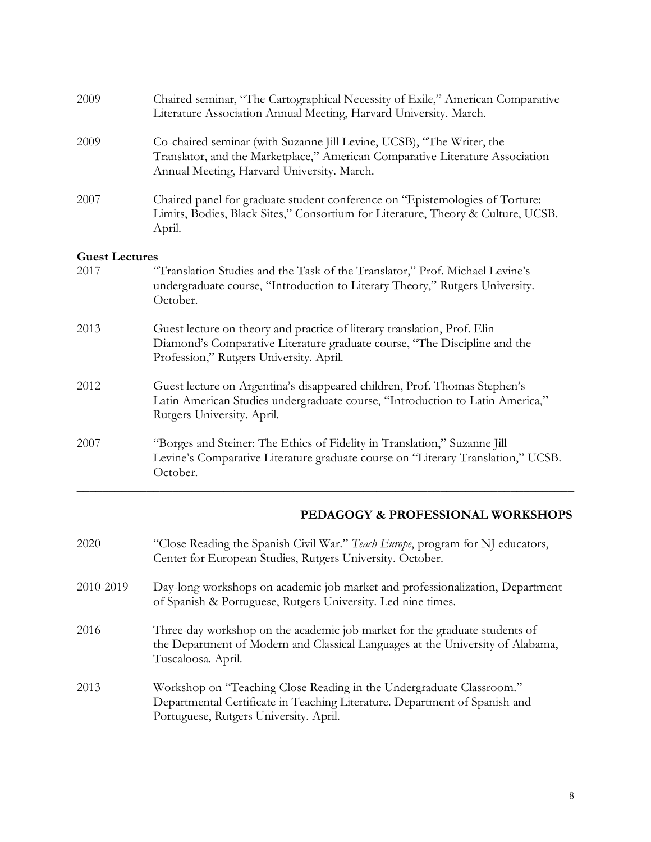| 2009                  | Chaired seminar, "The Cartographical Necessity of Exile," American Comparative<br>Literature Association Annual Meeting, Harvard University. March.                                                  |
|-----------------------|------------------------------------------------------------------------------------------------------------------------------------------------------------------------------------------------------|
| 2009                  | Co-chaired seminar (with Suzanne Jill Levine, UCSB), "The Writer, the<br>Translator, and the Marketplace," American Comparative Literature Association<br>Annual Meeting, Harvard University. March. |
| 2007                  | Chaired panel for graduate student conference on "Epistemologies of Torture:<br>Limits, Bodies, Black Sites," Consortium for Literature, Theory & Culture, UCSB.<br>April.                           |
| <b>Guest Lectures</b> |                                                                                                                                                                                                      |
| 2017                  | "Translation Studies and the Task of the Translator," Prof. Michael Levine's<br>undergraduate course, "Introduction to Literary Theory," Rutgers University.<br>October.                             |
| 2013                  | Guest lecture on theory and practice of literary translation, Prof. Elin<br>Diamond's Comparative Literature graduate course, "The Discipline and the<br>Profession," Rutgers University. April.     |
| 2012                  | Guest lecture on Argentina's disappeared children, Prof. Thomas Stephen's<br>Latin American Studies undergraduate course, "Introduction to Latin America,"<br>Rutgers University. April.             |
| 2007                  | "Borges and Steiner: The Ethics of Fidelity in Translation," Suzanne Jill<br>Levine's Comparative Literature graduate course on "Literary Translation," UCSB.<br>October.                            |

## **PEDAGOGY & PROFESSIONAL WORKSHOPS**

| 2020      | "Close Reading the Spanish Civil War." Teach Europe, program for NJ educators,<br>Center for European Studies, Rutgers University. October.                                                  |
|-----------|----------------------------------------------------------------------------------------------------------------------------------------------------------------------------------------------|
| 2010-2019 | Day-long workshops on academic job market and professionalization, Department<br>of Spanish & Portuguese, Rutgers University. Led nine times.                                                |
| 2016      | Three-day workshop on the academic job market for the graduate students of<br>the Department of Modern and Classical Languages at the University of Alabama,<br>Tuscaloosa. April.           |
| 2013      | Workshop on "Teaching Close Reading in the Undergraduate Classroom."<br>Departmental Certificate in Teaching Literature. Department of Spanish and<br>Portuguese, Rutgers University. April. |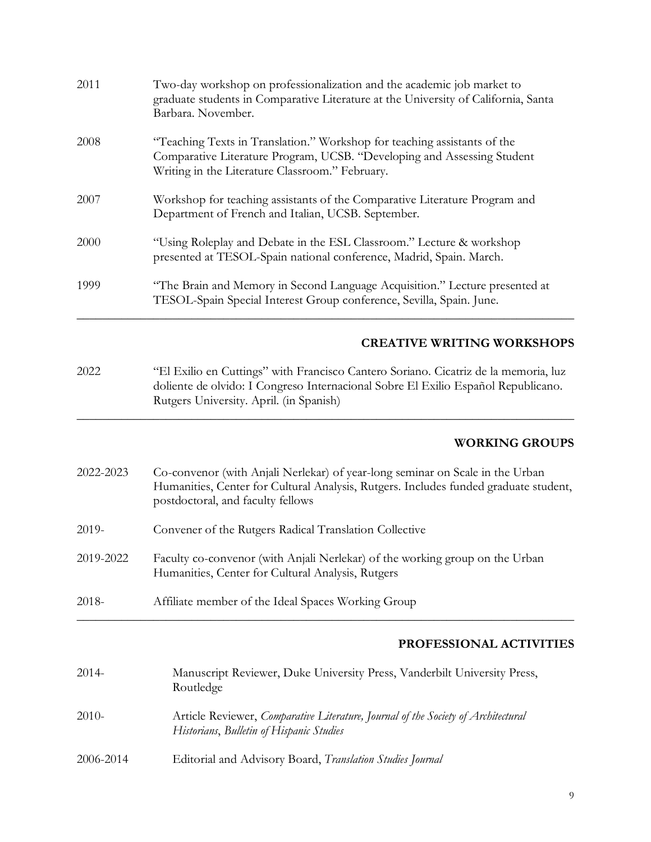| 2011      | Two-day workshop on professionalization and the academic job market to<br>graduate students in Comparative Literature at the University of California, Santa<br>Barbara. November.                                  |
|-----------|---------------------------------------------------------------------------------------------------------------------------------------------------------------------------------------------------------------------|
| 2008      | "Teaching Texts in Translation." Workshop for teaching assistants of the<br>Comparative Literature Program, UCSB. "Developing and Assessing Student<br>Writing in the Literature Classroom." February.              |
| 2007      | Workshop for teaching assistants of the Comparative Literature Program and<br>Department of French and Italian, UCSB. September.                                                                                    |
| 2000      | "Using Roleplay and Debate in the ESL Classroom." Lecture & workshop<br>presented at TESOL-Spain national conference, Madrid, Spain. March.                                                                         |
| 1999      | "The Brain and Memory in Second Language Acquisition." Lecture presented at<br>TESOL-Spain Special Interest Group conference, Sevilla, Spain. June.                                                                 |
|           | <b>CREATIVE WRITING WORKSHOPS</b>                                                                                                                                                                                   |
| 2022      | "El Exilio en Cuttings" with Francisco Cantero Soriano. Cicatriz de la memoria, luz<br>doliente de olvido: I Congreso Internacional Sobre El Exilio Español Republicano.<br>Rutgers University. April. (in Spanish) |
|           | <b>WORKING GROUPS</b>                                                                                                                                                                                               |
| 2022-2023 | Co-convenor (with Anjali Nerlekar) of year-long seminar on Scale in the Urban<br>Humanities, Center for Cultural Analysis, Rutgers. Includes funded graduate student,<br>postdoctoral, and faculty fellows          |
| 2019-     | Convener of the Rutgers Radical Translation Collective                                                                                                                                                              |
| 2019-2022 | Faculty co-convenor (with Anjali Nerlekar) of the working group on the Urban<br>Humanities, Center for Cultural Analysis, Rutgers                                                                                   |
| 2018-     | Affiliate member of the Ideal Spaces Working Group                                                                                                                                                                  |
|           | PROFESSIONAL ACTIVITIES                                                                                                                                                                                             |
| $2014 -$  | Manuscript Reviewer, Duke University Press, Vanderbilt University Press,<br>Routledge                                                                                                                               |
| $2010-$   | Article Reviewer, Comparative Literature, Journal of the Society of Architectural<br>Historians, Bulletin of Hispanic Studies                                                                                       |
| 2006-2014 | Editorial and Advisory Board, Translation Studies Journal                                                                                                                                                           |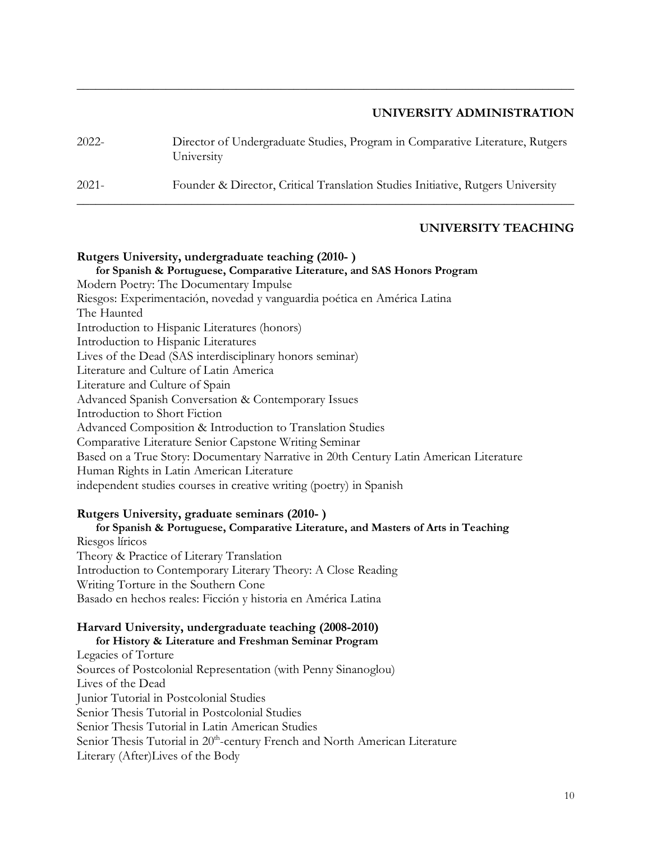### **UNIVERSITY ADMINISTRATION**

| 2022- | Director of Undergraduate Studies, Program in Comparative Literature, Rutgers<br>University |
|-------|---------------------------------------------------------------------------------------------|
| 2021- | Founder & Director, Critical Translation Studies Initiative, Rutgers University             |

\_\_\_\_\_\_\_\_\_\_\_\_\_\_\_\_\_\_\_\_\_\_\_\_\_\_\_\_\_\_\_\_\_\_\_\_\_\_\_\_\_\_\_\_\_\_\_\_\_\_\_\_\_\_\_\_\_\_\_\_\_\_\_\_\_\_\_\_\_\_\_\_\_\_\_\_\_\_

## **UNIVERSITY TEACHING**

## **Rutgers University, undergraduate teaching (2010- ) for Spanish & Portuguese, Comparative Literature, and SAS Honors Program** Modern Poetry: The Documentary Impulse Riesgos: Experimentación, novedad y vanguardia poética en América Latina The Haunted Introduction to Hispanic Literatures (honors) Introduction to Hispanic Literatures Lives of the Dead (SAS interdisciplinary honors seminar) Literature and Culture of Latin America Literature and Culture of Spain Advanced Spanish Conversation & Contemporary Issues Introduction to Short Fiction Advanced Composition & Introduction to Translation Studies Comparative Literature Senior Capstone Writing Seminar Based on a True Story: Documentary Narrative in 20th Century Latin American Literature Human Rights in Latin American Literature independent studies courses in creative writing (poetry) in Spanish

### **Rutgers University, graduate seminars (2010- )**

**for Spanish & Portuguese, Comparative Literature, and Masters of Arts in Teaching** Riesgos líricos Theory & Practice of Literary Translation Introduction to Contemporary Literary Theory: A Close Reading Writing Torture in the Southern Cone Basado en hechos reales: Ficción y historia en América Latina

#### **Harvard University, undergraduate teaching (2008-2010)**

**for History & Literature and Freshman Seminar Program** Legacies of Torture Sources of Postcolonial Representation (with Penny Sinanoglou) Lives of the Dead Junior Tutorial in Postcolonial Studies Senior Thesis Tutorial in Postcolonial Studies Senior Thesis Tutorial in Latin American Studies Senior Thesis Tutorial in 20<sup>th</sup>-century French and North American Literature Literary (After)Lives of the Body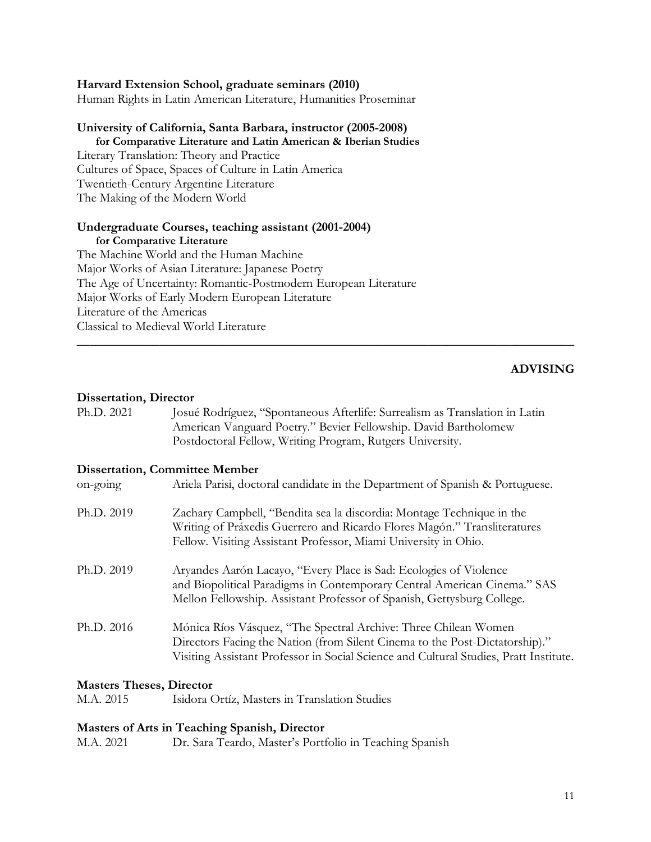#### **Harvard Extension School, graduate seminars (2010)**

Human Rights in Latin American Literature, Humanities Proseminar

#### **University of California, Santa Barbara, instructor (2005-2008)**

#### **for Comparative Literature and Latin American & Iberian Studies**

Literary Translation: Theory and Practice Cultures of Space, Spaces of Culture in Latin America Twentieth-Century Argentine Literature The Making of the Modern World

### **Undergraduate Courses, teaching assistant (2001-2004)**

**for Comparative Literature** The Machine World and the Human Machine Major Works of Asian Literature: Japanese Poetry The Age of Uncertainty: Romantic-Postmodern European Literature Major Works of Early Modern European Literature Literature of the Americas Classical to Medieval World Literature

#### **ADVISING**

#### **Dissertation, Director**

Ph.D. 2021 Josué Rodríguez, "Spontaneous Afterlife: Surrealism as Translation in Latin American Vanguard Poetry." Bevier Fellowship. David Bartholomew Postdoctoral Fellow, Writing Program, Rutgers University.

\_\_\_\_\_\_\_\_\_\_\_\_\_\_\_\_\_\_\_\_\_\_\_\_\_\_\_\_\_\_\_\_\_\_\_\_\_\_\_\_\_\_\_\_\_\_\_\_\_\_\_\_\_\_\_\_\_\_\_\_\_\_\_\_\_\_\_\_\_\_\_\_\_\_\_\_\_\_

#### **Dissertation, Committee Member**

| $on-going$ | Ariela Parisi, doctoral candidate in the Department of Spanish & Portuguese.                                                                                                                                                            |
|------------|-----------------------------------------------------------------------------------------------------------------------------------------------------------------------------------------------------------------------------------------|
| Ph.D. 2019 | Zachary Campbell, "Bendita sea la discordia: Montage Technique in the<br>Writing of Práxedis Guerrero and Ricardo Flores Magón." Transliteratures<br>Fellow. Visiting Assistant Professor, Miami University in Ohio.                    |
| Ph.D. 2019 | Aryandes Aarón Lacayo, "Every Place is Sad: Ecologies of Violence<br>and Biopolitical Paradigms in Contemporary Central American Cinema." SAS<br>Mellon Fellowship. Assistant Professor of Spanish, Gettysburg College.                 |
| Ph.D. 2016 | Mónica Ríos Vásquez, "The Spectral Archive: Three Chilean Women<br>Directors Facing the Nation (from Silent Cinema to the Post-Dictatorship)."<br>Visiting Assistant Professor in Social Science and Cultural Studies, Pratt Institute. |

#### **Masters Theses, Director**

M.A. 2015 Isidora Ortíz, Masters in Translation Studies

#### **Masters of Arts in Teaching Spanish, Director**

M.A. 2021 Dr. Sara Teardo, Master's Portfolio in Teaching Spanish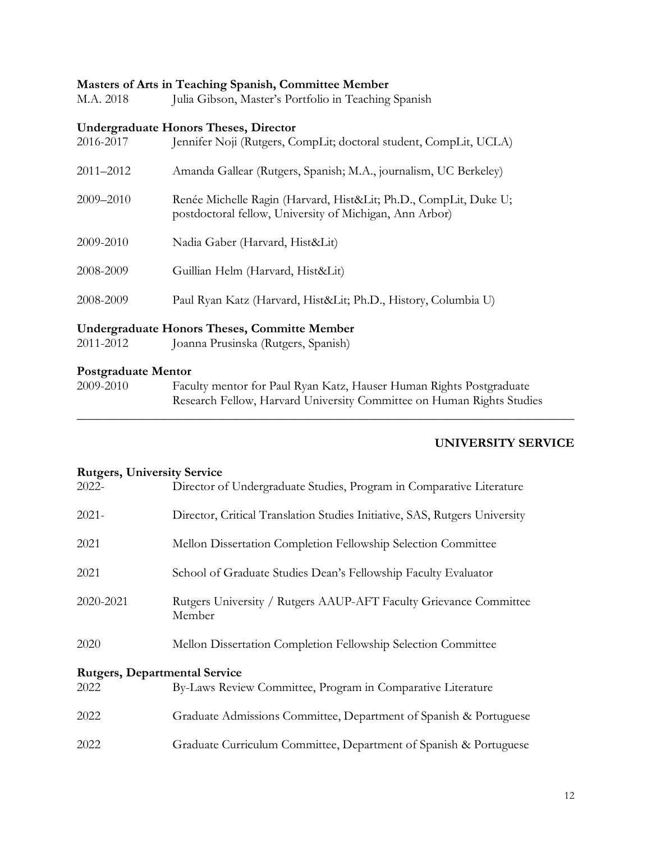## **Masters of Arts in Teaching Spanish, Committee Member**

| M.A. 2018 | $\sim$ 0.11.00 m. 2 covering openion, commuted in $\sim$<br>Julia Gibson, Master's Portfolio in Teaching Spanish           |
|-----------|----------------------------------------------------------------------------------------------------------------------------|
| 2016-2017 | <b>Undergraduate Honors Theses, Director</b><br>Jennifer Noji (Rutgers, CompLit; doctoral student, CompLit, UCLA)          |
| 2011–2012 | Amanda Gallear (Rutgers, Spanish; M.A., journalism, UC Berkeley)                                                           |
| 2009-2010 | Renée Michelle Ragin (Harvard, Hist&Lit Ph.D., CompLit, Duke U;<br>postdoctoral fellow, University of Michigan, Ann Arbor) |
| 2009-2010 | Nadia Gaber (Harvard, Hist&Lit)                                                                                            |
| 2008-2009 | Guillian Helm (Harvard, Hist&Lit)                                                                                          |
| 2008-2009 | Paul Ryan Katz (Harvard, Hist&Lit Ph.D., History, Columbia U)                                                              |
|           |                                                                                                                            |

## **Undergraduate Honors Theses, Committe Member**

2011-2012 Joanna Prusinska (Rutgers, Spanish)

#### **Postgraduate Mentor**

2009-2010 Faculty mentor for Paul Ryan Katz, Hauser Human Rights Postgraduate Research Fellow, Harvard University Committee on Human Rights Studies

\_\_\_\_\_\_\_\_\_\_\_\_\_\_\_\_\_\_\_\_\_\_\_\_\_\_\_\_\_\_\_\_\_\_\_\_\_\_\_\_\_\_\_\_\_\_\_\_\_\_\_\_\_\_\_\_\_\_\_\_\_\_\_\_\_\_\_\_\_\_\_\_\_\_\_\_\_\_

### **UNIVERSITY SERVICE**

#### **Rutgers, University Service**

| $2022 -$  | Director of Undergraduate Studies, Program in Comparative Literature        |  |  |  |
|-----------|-----------------------------------------------------------------------------|--|--|--|
| $2021 -$  | Director, Critical Translation Studies Initiative, SAS, Rutgers University  |  |  |  |
| 2021      | Mellon Dissertation Completion Fellowship Selection Committee               |  |  |  |
| 2021      | School of Graduate Studies Dean's Fellowship Faculty Evaluator              |  |  |  |
| 2020-2021 | Rutgers University / Rutgers AAUP-AFT Faculty Grievance Committee<br>Member |  |  |  |
| 2020      | Mellon Dissertation Completion Fellowship Selection Committee               |  |  |  |
|           | <b>Rutgers, Departmental Service</b>                                        |  |  |  |
| 2022      | By-Laws Review Committee, Program in Comparative Literature                 |  |  |  |
| 2022      | Graduate Admissions Committee, Department of Spanish & Portuguese           |  |  |  |
| 2022      | Graduate Curriculum Committee, Department of Spanish & Portuguese           |  |  |  |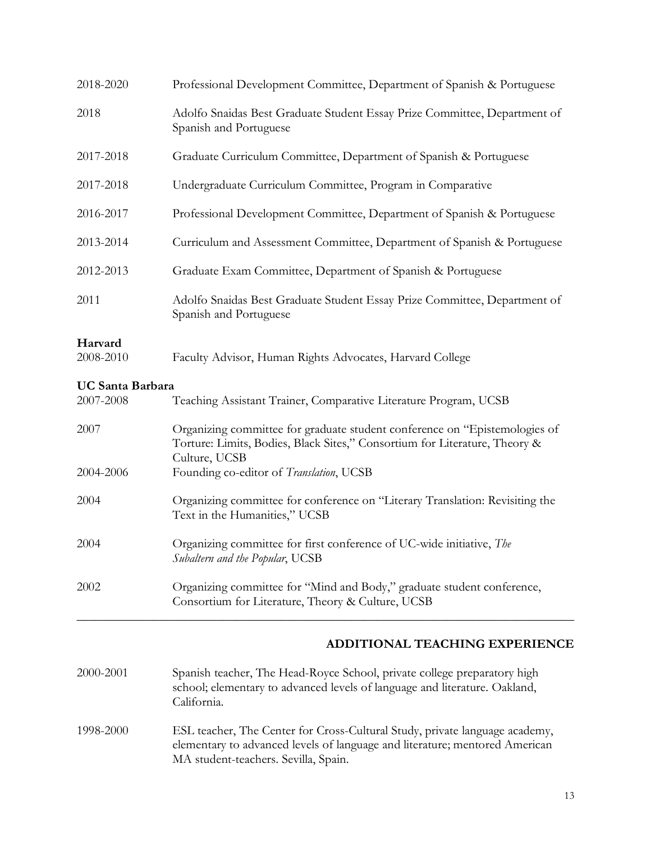| Professional Development Committee, Department of Spanish & Portuguese                                                                                                    |
|---------------------------------------------------------------------------------------------------------------------------------------------------------------------------|
| Adolfo Snaidas Best Graduate Student Essay Prize Committee, Department of<br>Spanish and Portuguese                                                                       |
| Graduate Curriculum Committee, Department of Spanish & Portuguese                                                                                                         |
| Undergraduate Curriculum Committee, Program in Comparative                                                                                                                |
| Professional Development Committee, Department of Spanish & Portuguese                                                                                                    |
| Curriculum and Assessment Committee, Department of Spanish & Portuguese                                                                                                   |
| Graduate Exam Committee, Department of Spanish & Portuguese                                                                                                               |
| Adolfo Snaidas Best Graduate Student Essay Prize Committee, Department of<br>Spanish and Portuguese                                                                       |
| Faculty Advisor, Human Rights Advocates, Harvard College                                                                                                                  |
| <b>UC Santa Barbara</b><br>Teaching Assistant Trainer, Comparative Literature Program, UCSB                                                                               |
| Organizing committee for graduate student conference on "Epistemologies of<br>Torture: Limits, Bodies, Black Sites," Consortium for Literature, Theory &<br>Culture, UCSB |
| Founding co-editor of Translation, UCSB                                                                                                                                   |
| Organizing committee for conference on "Literary Translation: Revisiting the<br>Text in the Humanities," UCSB                                                             |
| Organizing committee for first conference of UC-wide initiative, The<br>Subaltern and the Popular, UCSB                                                                   |
| Organizing committee for "Mind and Body," graduate student conference,<br>Consortium for Literature, Theory & Culture, UCSB                                               |
|                                                                                                                                                                           |

## **ADDITIONAL TEACHING EXPERIENCE**

- 2000-2001 Spanish teacher, The Head-Royce School, private college preparatory high school; elementary to advanced levels of language and literature. Oakland, California.
- 1998-2000 ESL teacher, The Center for Cross-Cultural Study, private language academy, elementary to advanced levels of language and literature; mentored American MA student-teachers. Sevilla, Spain.